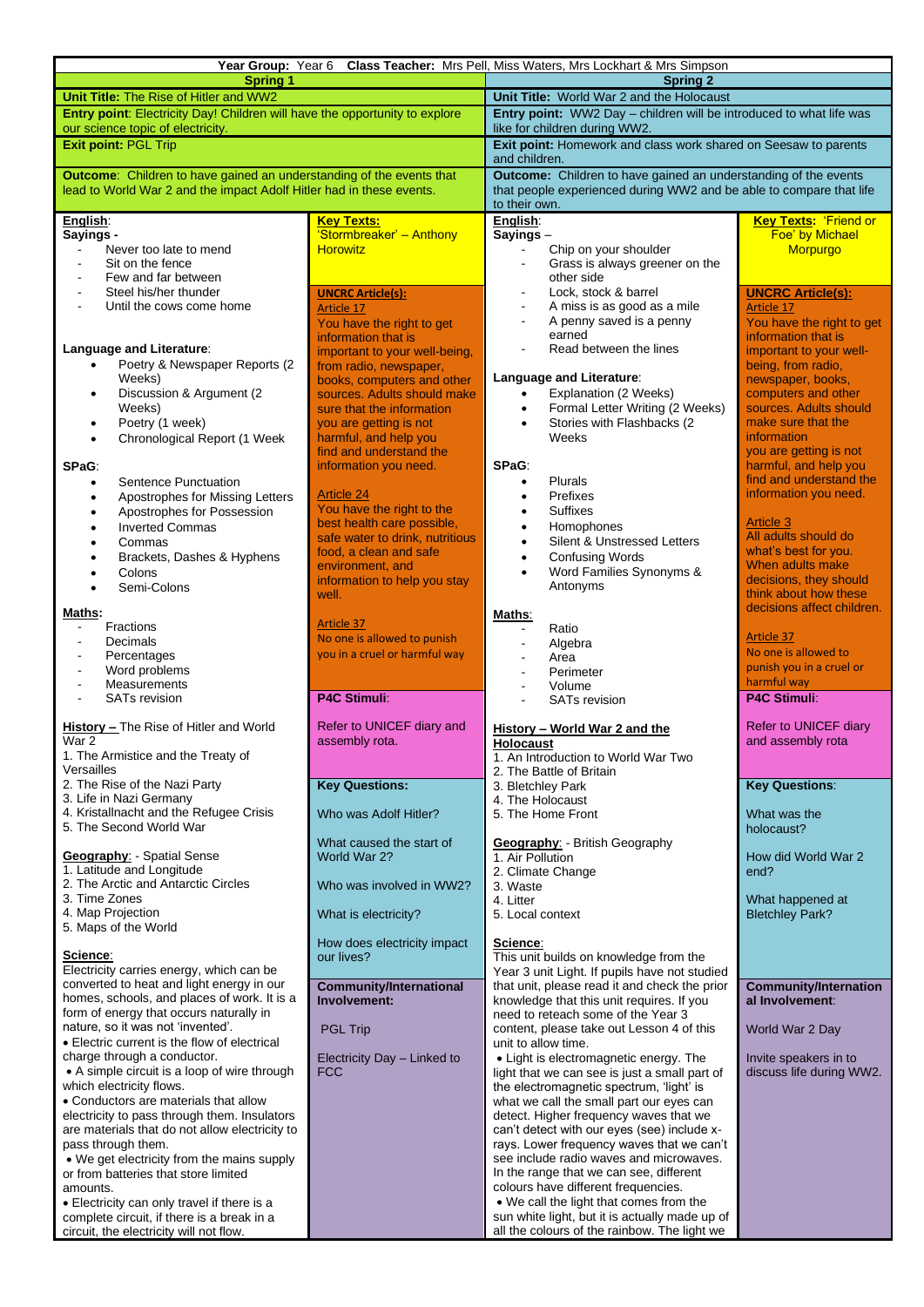| Year Group: Year 6                                                                                                                                                                                                                                                                                                                                                                                                                                                                                                                                                                                                                                                                                                                                                                                     |                                                                                                                                                                                                                                                                                                                                      | Class Teacher: Mrs Pell, Miss Waters, Mrs Lockhart & Mrs Simpson                                                                                                                                                                                                                                                                                                                                                                                                                                                                                                                                                                                                                                                                                                                                                                                                                                   |                                                                                                                                                                                                                                                                                  |  |
|--------------------------------------------------------------------------------------------------------------------------------------------------------------------------------------------------------------------------------------------------------------------------------------------------------------------------------------------------------------------------------------------------------------------------------------------------------------------------------------------------------------------------------------------------------------------------------------------------------------------------------------------------------------------------------------------------------------------------------------------------------------------------------------------------------|--------------------------------------------------------------------------------------------------------------------------------------------------------------------------------------------------------------------------------------------------------------------------------------------------------------------------------------|----------------------------------------------------------------------------------------------------------------------------------------------------------------------------------------------------------------------------------------------------------------------------------------------------------------------------------------------------------------------------------------------------------------------------------------------------------------------------------------------------------------------------------------------------------------------------------------------------------------------------------------------------------------------------------------------------------------------------------------------------------------------------------------------------------------------------------------------------------------------------------------------------|----------------------------------------------------------------------------------------------------------------------------------------------------------------------------------------------------------------------------------------------------------------------------------|--|
| <b>Spring 1</b><br>Unit Title: The Rise of Hitler and WW2                                                                                                                                                                                                                                                                                                                                                                                                                                                                                                                                                                                                                                                                                                                                              |                                                                                                                                                                                                                                                                                                                                      | <b>Spring 2</b><br>Unit Title: World War 2 and the Holocaust                                                                                                                                                                                                                                                                                                                                                                                                                                                                                                                                                                                                                                                                                                                                                                                                                                       |                                                                                                                                                                                                                                                                                  |  |
| Entry point: Electricity Day! Children will have the opportunity to explore                                                                                                                                                                                                                                                                                                                                                                                                                                                                                                                                                                                                                                                                                                                            |                                                                                                                                                                                                                                                                                                                                      | Entry point: WW2 Day - children will be introduced to what life was                                                                                                                                                                                                                                                                                                                                                                                                                                                                                                                                                                                                                                                                                                                                                                                                                                |                                                                                                                                                                                                                                                                                  |  |
| our science topic of electricity.                                                                                                                                                                                                                                                                                                                                                                                                                                                                                                                                                                                                                                                                                                                                                                      |                                                                                                                                                                                                                                                                                                                                      | like for children during WW2.                                                                                                                                                                                                                                                                                                                                                                                                                                                                                                                                                                                                                                                                                                                                                                                                                                                                      |                                                                                                                                                                                                                                                                                  |  |
| <b>Exit point: PGL Trip</b>                                                                                                                                                                                                                                                                                                                                                                                                                                                                                                                                                                                                                                                                                                                                                                            |                                                                                                                                                                                                                                                                                                                                      | Exit point: Homework and class work shared on Seesaw to parents<br>and children.                                                                                                                                                                                                                                                                                                                                                                                                                                                                                                                                                                                                                                                                                                                                                                                                                   |                                                                                                                                                                                                                                                                                  |  |
| <b>Outcome:</b> Children to have gained an understanding of the events that<br>lead to World War 2 and the impact Adolf Hitler had in these events.                                                                                                                                                                                                                                                                                                                                                                                                                                                                                                                                                                                                                                                    |                                                                                                                                                                                                                                                                                                                                      | <b>Outcome:</b> Children to have gained an understanding of the events<br>that people experienced during WW2 and be able to compare that life<br>to their own.                                                                                                                                                                                                                                                                                                                                                                                                                                                                                                                                                                                                                                                                                                                                     |                                                                                                                                                                                                                                                                                  |  |
| English:<br>Sayings -<br>Never too late to mend<br>Sit on the fence<br>÷,                                                                                                                                                                                                                                                                                                                                                                                                                                                                                                                                                                                                                                                                                                                              | <u>Key Texts:</u><br>'Stormbreaker' - Anthony<br><b>Horowitz</b>                                                                                                                                                                                                                                                                     | English:<br>$Sayings -$<br>Chip on your shoulder<br>Grass is always greener on the                                                                                                                                                                                                                                                                                                                                                                                                                                                                                                                                                                                                                                                                                                                                                                                                                 | <b>Key Texts: 'Friend or</b><br>Foe' by Michael<br>Morpurgo                                                                                                                                                                                                                      |  |
| Few and far between<br>Steel his/her thunder<br>$\blacksquare$<br>Until the cows come home<br>Language and Literature:<br>Poetry & Newspaper Reports (2)<br>$\bullet$<br>Weeks)<br>Discussion & Argument (2<br>$\bullet$<br>Weeks)<br>Poetry (1 week)<br>٠<br>Chronological Report (1 Week<br>$\bullet$                                                                                                                                                                                                                                                                                                                                                                                                                                                                                                | <b>UNCRC Article(s):</b><br><b>Article 17</b><br>You have the right to get<br>information that is<br>important to your well-being,<br>from radio, newspaper,<br>books, computers and other<br>sources. Adults should make<br>sure that the information<br>you are getting is not<br>harmful, and help you<br>find and understand the | other side<br>Lock, stock & barrel<br>A miss is as good as a mile<br>A penny saved is a penny<br>earned<br>Read between the lines<br>Language and Literature:<br>Explanation (2 Weeks)<br>Formal Letter Writing (2 Weeks)<br>$\bullet$<br>Stories with Flashbacks (2<br>$\bullet$<br>Weeks                                                                                                                                                                                                                                                                                                                                                                                                                                                                                                                                                                                                         | <b>UNCRC Article(s):</b><br>Article 17<br>You have the right to get<br>information that is<br>important to your well-<br>being, from radio,<br>newspaper, books,<br>computers and other<br>sources. Adults should<br>make sure that the<br>information<br>you are getting is not |  |
| SPaG:<br>Sentence Punctuation<br>$\bullet$<br>Apostrophes for Missing Letters<br>٠<br>Apostrophes for Possession<br>٠<br><b>Inverted Commas</b><br>$\bullet$<br>Commas<br>$\bullet$<br>Brackets, Dashes & Hyphens<br>٠<br>Colons<br>Semi-Colons<br>$\bullet$                                                                                                                                                                                                                                                                                                                                                                                                                                                                                                                                           | information you need.<br><b>Article 24</b><br>You have the right to the<br>best health care possible,<br>safe water to drink, nutritious<br>food, a clean and safe<br>environment, and<br>information to help you stay<br>well.                                                                                                      | SPaG:<br>Plurals<br>$\bullet$<br>Prefixes<br>$\bullet$<br>Suffixes<br>$\bullet$<br>Homophones<br>$\bullet$<br>Silent & Unstressed Letters<br>$\bullet$<br><b>Confusing Words</b><br>$\bullet$<br>Word Families Synonyms &<br>Antonyms                                                                                                                                                                                                                                                                                                                                                                                                                                                                                                                                                                                                                                                              | harmful, and help you<br>find and understand the<br>information you need.<br><b>Article 3</b><br>All adults should do<br>what's best for you.<br>When adults make<br>decisions, they should<br>think about how these<br>decisions affect children.                               |  |
| Maths:<br>Fractions<br>ä,<br>Decimals<br>Percentages<br>$\blacksquare$<br>Word problems<br>$\blacksquare$<br>Measurements<br>$\overline{\phantom{a}}$<br><b>SATs revision</b>                                                                                                                                                                                                                                                                                                                                                                                                                                                                                                                                                                                                                          | <b>Article 37</b><br>No one is allowed to punish<br>you in a cruel or harmful way<br><b>P4C Stimuli:</b>                                                                                                                                                                                                                             | Maths:<br>Ratio<br>Algebra<br>Area<br>Perimeter<br>Volume<br><b>SATs revision</b>                                                                                                                                                                                                                                                                                                                                                                                                                                                                                                                                                                                                                                                                                                                                                                                                                  | <b>Article 37</b><br>No one is allowed to<br>punish you in a cruel or<br>harmful way<br><b>P4C Stimuli:</b>                                                                                                                                                                      |  |
| <b>History - The Rise of Hitler and World</b><br>War 2<br>1. The Armistice and the Treaty of<br>Versailles                                                                                                                                                                                                                                                                                                                                                                                                                                                                                                                                                                                                                                                                                             | Refer to UNICEF diary and<br>assembly rota.                                                                                                                                                                                                                                                                                          | History - World War 2 and the<br>Holocaust<br>1. An Introduction to World War Two<br>2. The Battle of Britain                                                                                                                                                                                                                                                                                                                                                                                                                                                                                                                                                                                                                                                                                                                                                                                      | Refer to UNICEF diary<br>and assembly rota                                                                                                                                                                                                                                       |  |
| 2. The Rise of the Nazi Party<br>3. Life in Nazi Germany<br>4. Kristallnacht and the Refugee Crisis<br>5. The Second World War                                                                                                                                                                                                                                                                                                                                                                                                                                                                                                                                                                                                                                                                         | <b>Key Questions:</b><br>Who was Adolf Hitler?                                                                                                                                                                                                                                                                                       | 3. Bletchley Park<br>4. The Holocaust<br>5. The Home Front                                                                                                                                                                                                                                                                                                                                                                                                                                                                                                                                                                                                                                                                                                                                                                                                                                         | <b>Key Questions:</b><br>What was the<br>holocaust?                                                                                                                                                                                                                              |  |
| <b>Geography:</b> - Spatial Sense<br>1. Latitude and Longitude<br>2. The Arctic and Antarctic Circles<br>3. Time Zones                                                                                                                                                                                                                                                                                                                                                                                                                                                                                                                                                                                                                                                                                 | What caused the start of<br>World War 2?<br>Who was involved in WW2?                                                                                                                                                                                                                                                                 | <b>Geography:</b> - British Geography<br>1. Air Pollution<br>2. Climate Change<br>3. Waste<br>4. Litter                                                                                                                                                                                                                                                                                                                                                                                                                                                                                                                                                                                                                                                                                                                                                                                            | How did World War 2<br>end?<br>What happened at                                                                                                                                                                                                                                  |  |
| 4. Map Projection<br>5. Maps of the World                                                                                                                                                                                                                                                                                                                                                                                                                                                                                                                                                                                                                                                                                                                                                              | What is electricity?<br>How does electricity impact                                                                                                                                                                                                                                                                                  | 5. Local context<br>Science:                                                                                                                                                                                                                                                                                                                                                                                                                                                                                                                                                                                                                                                                                                                                                                                                                                                                       | <b>Bletchley Park?</b>                                                                                                                                                                                                                                                           |  |
| Science:<br>Electricity carries energy, which can be<br>converted to heat and light energy in our<br>homes, schools, and places of work. It is a<br>form of energy that occurs naturally in<br>nature, so it was not 'invented'.<br>• Electric current is the flow of electrical<br>charge through a conductor.<br>• A simple circuit is a loop of wire through<br>which electricity flows.<br>• Conductors are materials that allow<br>electricity to pass through them. Insulators<br>are materials that do not allow electricity to<br>pass through them.<br>• We get electricity from the mains supply<br>or from batteries that store limited<br>amounts.<br>• Electricity can only travel if there is a<br>complete circuit, if there is a break in a<br>circuit, the electricity will not flow. | our lives?<br><b>Community/International</b><br>Involvement:<br><b>PGL Trip</b><br>Electricity Day - Linked to<br><b>FCC</b>                                                                                                                                                                                                         | This unit builds on knowledge from the<br>Year 3 unit Light. If pupils have not studied<br>that unit, please read it and check the prior<br>knowledge that this unit requires. If you<br>need to reteach some of the Year 3<br>content, please take out Lesson 4 of this<br>unit to allow time.<br>• Light is electromagnetic energy. The<br>light that we can see is just a small part of<br>the electromagnetic spectrum, 'light' is<br>what we call the small part our eyes can<br>detect. Higher frequency waves that we<br>can't detect with our eyes (see) include x-<br>rays. Lower frequency waves that we can't<br>see include radio waves and microwaves.<br>In the range that we can see, different<br>colours have different frequencies.<br>. We call the light that comes from the<br>sun white light, but it is actually made up of<br>all the colours of the rainbow. The light we | <b>Community/Internation</b><br>al Involvement:<br>World War 2 Day<br>Invite speakers in to<br>discuss life during WW2.                                                                                                                                                          |  |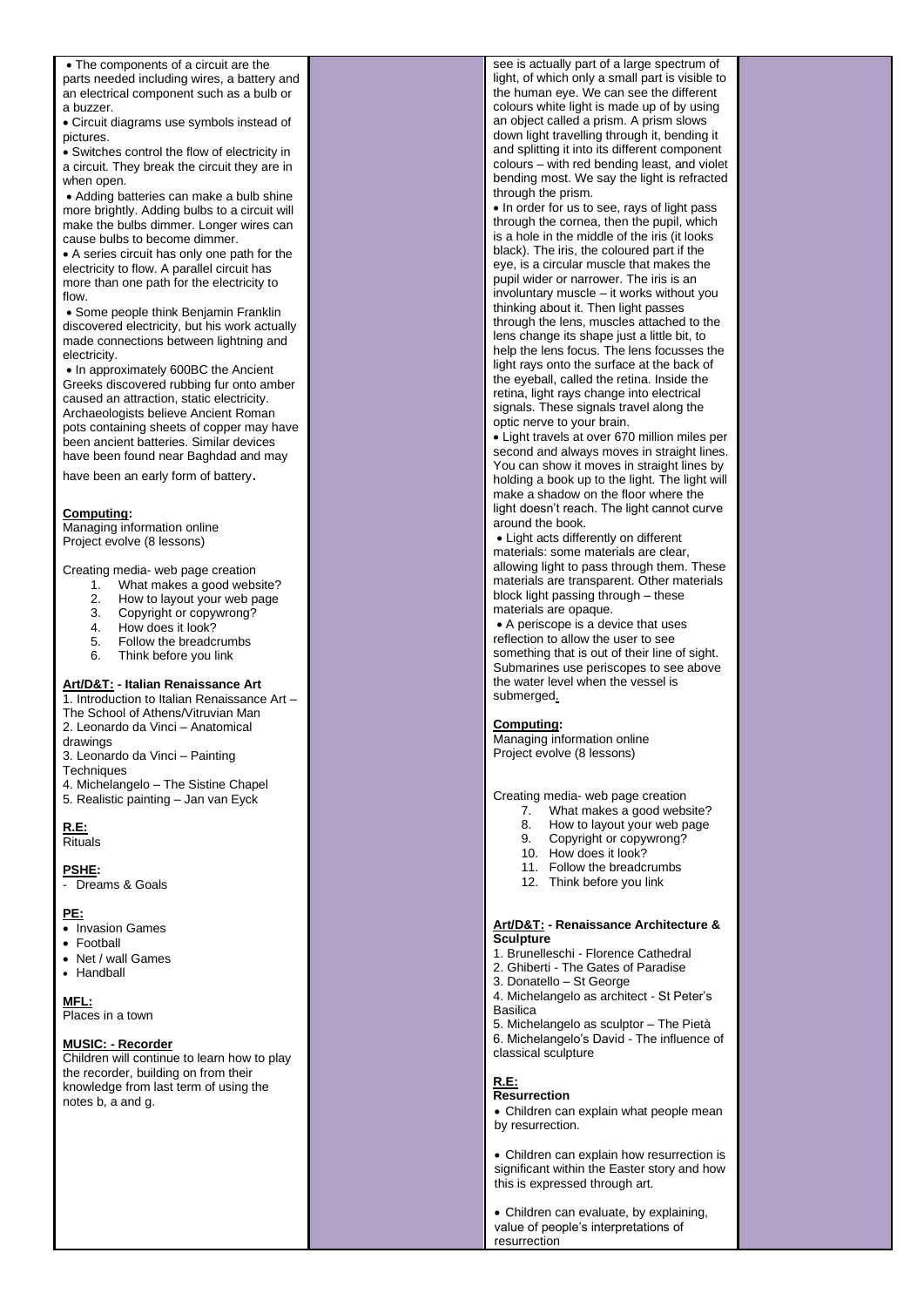| • The components of a circuit are the         | see is actually part of a large spectrum of          |  |
|-----------------------------------------------|------------------------------------------------------|--|
| parts needed including wires, a battery and   | light, of which only a small part is visible to      |  |
| an electrical component such as a bulb or     | the human eye. We can see the different              |  |
| a buzzer.                                     | colours white light is made up of by using           |  |
| • Circuit diagrams use symbols instead of     | an object called a prism. A prism slows              |  |
| pictures.                                     | down light travelling through it, bending it         |  |
|                                               | and splitting it into its different component        |  |
| • Switches control the flow of electricity in | colours – with red bending least, and violet         |  |
| a circuit. They break the circuit they are in | bending most. We say the light is refracted          |  |
| when open.                                    | through the prism.                                   |  |
| • Adding batteries can make a bulb shine      | • In order for us to see, rays of light pass         |  |
| more brightly. Adding bulbs to a circuit will |                                                      |  |
| make the bulbs dimmer. Longer wires can       | through the cornea, then the pupil, which            |  |
| cause bulbs to become dimmer.                 | is a hole in the middle of the iris (it looks        |  |
| • A series circuit has only one path for the  | black). The iris, the coloured part if the           |  |
| electricity to flow. A parallel circuit has   | eye, is a circular muscle that makes the             |  |
| more than one path for the electricity to     | pupil wider or narrower. The iris is an              |  |
| flow.                                         | involuntary muscle – it works without you            |  |
| • Some people think Benjamin Franklin         | thinking about it. Then light passes                 |  |
| discovered electricity, but his work actually | through the lens, muscles attached to the            |  |
| made connections between lightning and        | lens change its shape just a little bit, to          |  |
| electricity.                                  | help the lens focus. The lens focusses the           |  |
| • In approximately 600BC the Ancient          | light rays onto the surface at the back of           |  |
| Greeks discovered rubbing fur onto amber      | the eyeball, called the retina. Inside the           |  |
| caused an attraction, static electricity.     | retina, light rays change into electrical            |  |
| Archaeologists believe Ancient Roman          | signals. These signals travel along the              |  |
| pots containing sheets of copper may have     | optic nerve to your brain.                           |  |
| been ancient batteries. Similar devices       | • Light travels at over 670 million miles per        |  |
| have been found near Baghdad and may          | second and always moves in straight lines.           |  |
|                                               | You can show it moves in straight lines by           |  |
| have been an early form of battery.           | holding a book up to the light. The light will       |  |
|                                               | make a shadow on the floor where the                 |  |
| Computing:                                    | light doesn't reach. The light cannot curve          |  |
| Managing information online                   | around the book.                                     |  |
| Project evolve (8 lessons)                    | • Light acts differently on different                |  |
|                                               | materials: some materials are clear,                 |  |
| Creating media- web page creation             | allowing light to pass through them. These           |  |
| What makes a good website?<br>1.              | materials are transparent. Other materials           |  |
| 2.<br>How to layout your web page             | block light passing through – these                  |  |
| 3.<br>Copyright or copywrong?                 | materials are opaque.                                |  |
| 4.<br>How does it look?                       | • A periscope is a device that uses                  |  |
| 5.<br>Follow the breadcrumbs                  | reflection to allow the user to see                  |  |
| 6.<br>Think before you link                   | something that is out of their line of sight.        |  |
|                                               | Submarines use periscopes to see above               |  |
| Art/D&T: - Italian Renaissance Art            | the water level when the vessel is                   |  |
| 1. Introduction to Italian Renaissance Art -  | submerged.                                           |  |
| The School of Athens/Vitruvian Man            |                                                      |  |
| 2. Leonardo da Vinci – Anatomical             | Computing:                                           |  |
| drawings                                      | Managing information online                          |  |
| 3. Leonardo da Vinci - Painting               | Project evolve (8 lessons)                           |  |
| Techniques                                    |                                                      |  |
| 4. Michelangelo - The Sistine Chapel          |                                                      |  |
| 5. Realistic painting - Jan van Eyck          | Creating media- web page creation                    |  |
|                                               | What makes a good website?<br>7.                     |  |
| <b>R.E.</b>                                   | 8. How to layout your web page                       |  |
| <b>Rituals</b>                                | 9.<br>Copyright or copywrong?                        |  |
|                                               | 10. How does it look?                                |  |
| <b>PSHE:</b>                                  | 11. Follow the breadcrumbs                           |  |
| - Dreams & Goals                              | 12. Think before you link                            |  |
|                                               |                                                      |  |
| <u>PE:</u>                                    |                                                      |  |
| • Invasion Games                              | <b>Art/D&amp;T: - Renaissance Architecture &amp;</b> |  |
| • Football                                    | <b>Sculpture</b>                                     |  |
| • Net / wall Games                            | 1. Brunelleschi - Florence Cathedral                 |  |
| • Handball                                    | 2. Ghiberti - The Gates of Paradise                  |  |
|                                               | 3. Donatello – St George                             |  |
| MFL:                                          | 4. Michelangelo as architect - St Peter's            |  |
| Places in a town                              | Basilica                                             |  |
|                                               | 5. Michelangelo as sculptor - The Pietà              |  |
| <b>MUSIC: - Recorder</b>                      | 6. Michelangelo's David - The influence of           |  |
| Children will continue to learn how to play   | classical sculpture                                  |  |
| the recorder, building on from their          |                                                      |  |
| knowledge from last term of using the         | <u>R.E.</u>                                          |  |
| notes b, a and g.                             | <b>Resurrection</b>                                  |  |
|                                               | • Children can explain what people mean              |  |
|                                               | by resurrection.                                     |  |
|                                               |                                                      |  |
|                                               | • Children can explain how resurrection is           |  |
|                                               | significant within the Easter story and how          |  |
|                                               | this is expressed through art.                       |  |
|                                               |                                                      |  |
|                                               | • Children can evaluate, by explaining,              |  |
|                                               | value of people's interpretations of<br>resurrection |  |
|                                               |                                                      |  |